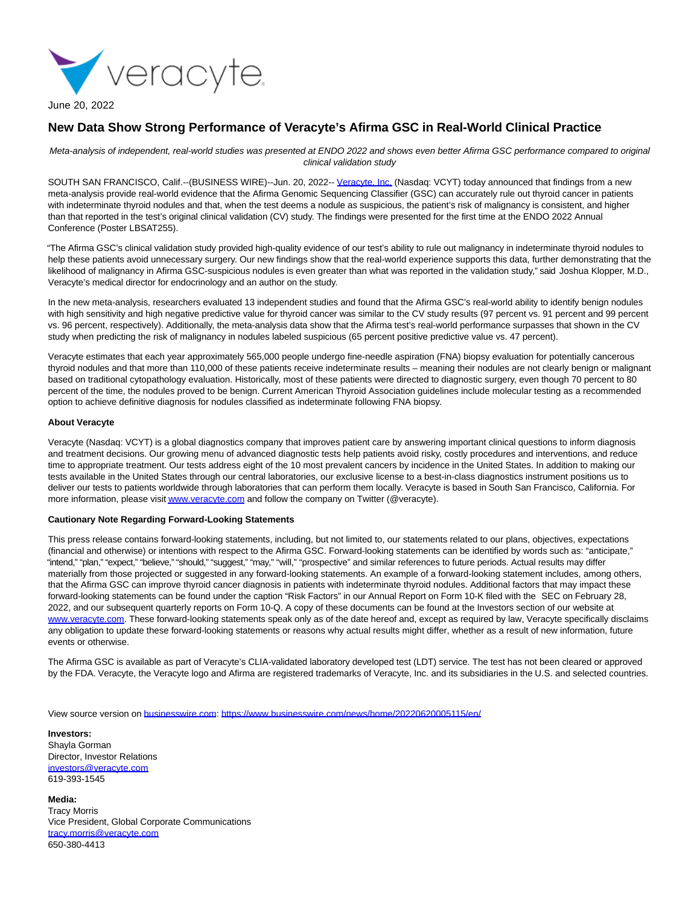

## June 20, 2022

## **New Data Show Strong Performance of Veracyte's Afirma GSC in Real-World Clinical Practice**

Meta-analysis of independent, real-world studies was presented at ENDO 2022 and shows even better Afirma GSC performance compared to original clinical validation study

SOUTH SAN FRANCISCO, Calif.--(BUSINESS WIRE)--Jun. 20, 2022-- [Veracyte, Inc. \(](https://cts.businesswire.com/ct/CT?id=smartlink&url=https%3A%2F%2Fwww.veracyte.com&esheet=52754843&newsitemid=20220620005115&lan=en-US&anchor=Veracyte%2C+Inc.&index=1&md5=5d9dedc67342eeb57357023b7ecb9f45)Nasdaq: VCYT) today announced that findings from a new meta-analysis provide real-world evidence that the Afirma Genomic Sequencing Classifier (GSC) can accurately rule out thyroid cancer in patients with indeterminate thyroid nodules and that, when the test deems a nodule as suspicious, the patient's risk of malignancy is consistent, and higher than that reported in the test's original clinical validation (CV) study. The findings were presented for the first time at the ENDO 2022 Annual Conference (Poster LBSAT255).

"The Afirma GSC's clinical validation study provided high-quality evidence of our test's ability to rule out malignancy in indeterminate thyroid nodules to help these patients avoid unnecessary surgery. Our new findings show that the real-world experience supports this data, further demonstrating that the likelihood of malignancy in Afirma GSC-suspicious nodules is even greater than what was reported in the validation study," said Joshua Klopper, M.D., Veracyte's medical director for endocrinology and an author on the study.

In the new meta-analysis, researchers evaluated 13 independent studies and found that the Afirma GSC's real-world ability to identify benign nodules with high sensitivity and high negative predictive value for thyroid cancer was similar to the CV study results (97 percent vs. 91 percent and 99 percent vs. 96 percent, respectively). Additionally, the meta-analysis data show that the Afirma test's real-world performance surpasses that shown in the CV study when predicting the risk of malignancy in nodules labeled suspicious (65 percent positive predictive value vs. 47 percent).

Veracyte estimates that each year approximately 565,000 people undergo fine-needle aspiration (FNA) biopsy evaluation for potentially cancerous thyroid nodules and that more than 110,000 of these patients receive indeterminate results – meaning their nodules are not clearly benign or malignant based on traditional cytopathology evaluation. Historically, most of these patients were directed to diagnostic surgery, even though 70 percent to 80 percent of the time, the nodules proved to be benign. Current American Thyroid Association guidelines include molecular testing as a recommended option to achieve definitive diagnosis for nodules classified as indeterminate following FNA biopsy.

## **About Veracyte**

Veracyte (Nasdaq: VCYT) is a global diagnostics company that improves patient care by answering important clinical questions to inform diagnosis and treatment decisions. Our growing menu of advanced diagnostic tests help patients avoid risky, costly procedures and interventions, and reduce time to appropriate treatment. Our tests address eight of the 10 most prevalent cancers by incidence in the United States. In addition to making our tests available in the United States through our central laboratories, our exclusive license to a best-in-class diagnostics instrument positions us to deliver our tests to patients worldwide through laboratories that can perform them locally. Veracyte is based in South San Francisco, California. For more information, please visi[t www.veracyte.com a](https://cts.businesswire.com/ct/CT?id=smartlink&url=http%3A%2F%2Fwww.veracyte.com&esheet=52754843&newsitemid=20220620005115&lan=en-US&anchor=www.veracyte.com&index=2&md5=b635163ee8520b8a33f9c935cd360c61)nd follow the company on Twitter (@veracyte).

## **Cautionary Note Regarding Forward-Looking Statements**

This press release contains forward-looking statements, including, but not limited to, our statements related to our plans, objectives, expectations (financial and otherwise) or intentions with respect to the Afirma GSC. Forward-looking statements can be identified by words such as: "anticipate," "intend," "plan," "expect," "believe," "should," "suggest," "may," "will," "prospective" and similar references to future periods. Actual results may differ materially from those projected or suggested in any forward-looking statements. An example of a forward-looking statement includes, among others, that the Afirma GSC can improve thyroid cancer diagnosis in patients with indeterminate thyroid nodules. Additional factors that may impact these forward-looking statements can be found under the caption "Risk Factors" in our Annual Report on Form 10-K filed with the SEC on February 28, 2022, and our subsequent quarterly reports on Form 10-Q. A copy of these documents can be found at the Investors section of our website at [www.veracyte.com.](https://cts.businesswire.com/ct/CT?id=smartlink&url=http%3A%2F%2Fwww.veracyte.com&esheet=52754843&newsitemid=20220620005115&lan=en-US&anchor=www.veracyte.com&index=3&md5=49fc40b78b89d10d77a93d50eb62328a) These forward-looking statements speak only as of the date hereof and, except as required by law, Veracyte specifically disclaims any obligation to update these forward-looking statements or reasons why actual results might differ, whether as a result of new information, future events or otherwise.

The Afirma GSC is available as part of Veracyte's CLIA-validated laboratory developed test (LDT) service. The test has not been cleared or approved by the FDA. Veracyte, the Veracyte logo and Afirma are registered trademarks of Veracyte, Inc. and its subsidiaries in the U.S. and selected countries.

View source version on [businesswire.com:](http://businesswire.com/)<https://www.businesswire.com/news/home/20220620005115/en/>

**Investors:** Shayla Gorman Director, Investor Relations [investors@veracyte.com](mailto:investors@veracyte.com) 619-393-1545

**Media:** Tracy Morris Vice President, Global Corporate Communications [tracy.morris@veracyte.com](mailto:tracy.morris@veracyte.com) 650-380-4413